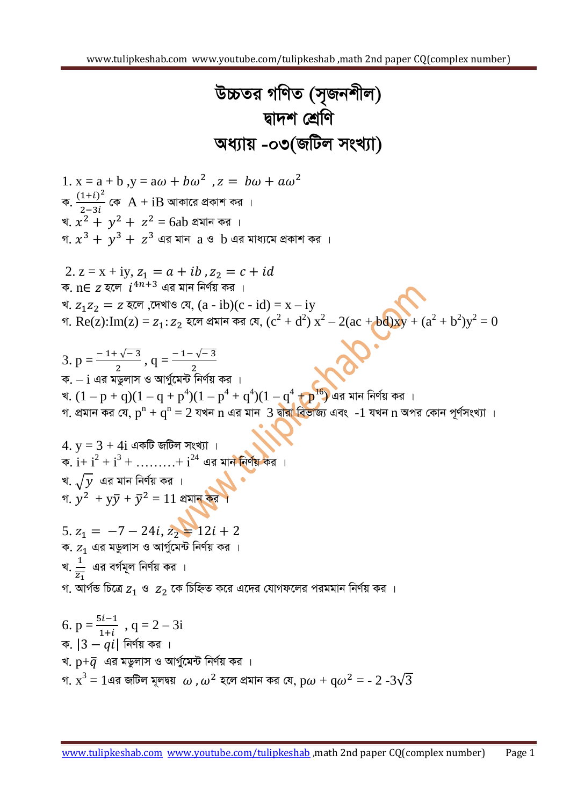$$
\nabla B\nabla \otimes \pi \text{ of } \mathbb{Q} \text{ or } \mathbb{Q} \text{ and } \mathbb{Q} \text{ for } \mathbb{Q} \text{ and } \mathbb{Q} \text{ for } \mathbb{Q} \text{ and } \mathbb{Q} \text{ for } \mathbb{Q} \text{ and } \mathbb{Q} \text{ for } \mathbb{Q} \text{ and } \mathbb{Q} \text{ for } \mathbb{Q} \text{ and } \mathbb{Q} \text{ and } \mathbb{Q} \text{ for } \mathbb{Q} \text{ and } \mathbb{Q} \text{ and } \mathbb{Q} \text{ and } \mathbb{Q} \text{ and } \mathbb{Q} \text{ and } \mathbb{Q} \text{ and } \mathbb{Q} \text{ and } \mathbb{Q} \text{ and } \mathbb{Q} \text{ and } \mathbb{Q} \text{ and } \mathbb{Q} \text{ and } \mathbb{Q} \text{ and } \mathbb{Q} \text{ and } \mathbb{Q} \text{ and } \mathbb{Q} \text{ and } \mathbb{Q} \text{ and } \mathbb{Q} \text{ and } \mathbb{Q} \text{ and } \mathbb{Q} \text{ and } \mathbb{Q} \text{ and } \mathbb{Q} \text{ and } \mathbb{Q} \text{ and } \mathbb{Q} \text{ and } \mathbb{Q} \text{ and } \mathbb{Q} \text{ and } \mathbb{Q} \text{ and } \mathbb{Q} \text{ and } \mathbb{Q} \text{ and } \mathbb{Q} \text{ and } \mathbb{Q} \text{ and } \mathbb{Q} \text{ and } \mathbb{Q} \text{ and } \mathbb{Q} \text{ and } \mathbb{Q} \text{ and } \mathbb{Q} \text{ and } \mathbb{Q} \text{ and } \mathbb{Q} \text{ and } \mathbb{Q} \text{ and } \mathbb{Q} \text{ and } \mathbb{Q} \text{ and } \mathbb{Q} \text{ and } \mathbb{Q} \text{ and } \mathbb{Q} \text{ and } \mathbb{Q} \text{ and } \mathbb{Q} \text{ and } \mathbb{Q} \text{ and } \mathbb{Q} \text{ and } \mathbb{Q} \text{ and } \mathbb{Q} \text{ and } \mathbb{Q} \text{ and } \mathbb{Q} \text{ and } \mathbb{Q} \text{ and } \mathbb{Q} \text{ and } \mathbb
$$

গ.  $\mathrm{x}^3=1$ এর জটিল মূলদ্বয়  $\omega$  ,  $\omega^2$  হলে প্রমান কর যে,  $\mathrm{p}\omega+\mathrm{q}\omega^2=$  -  $2$  -3 $\sqrt{3}$